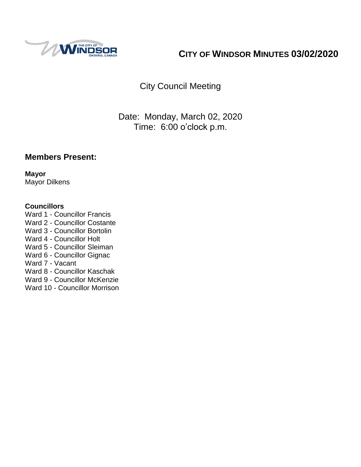

# **CITY OF WINDSOR MINUTES 03/02/2020**

City Council Meeting

Date: Monday, March 02, 2020 Time: 6:00 o'clock p.m.

### **Members Present:**

**Mayor** Mayor Dilkens

#### **Councillors**

- Ward 1 Councillor Francis
- Ward 2 Councillor Costante
- Ward 3 Councillor Bortolin
- Ward 4 Councillor Holt
- Ward 5 Councillor Sleiman
- Ward 6 Councillor Gignac

Ward 7 - Vacant

- Ward 8 Councillor Kaschak
- Ward 9 Councillor McKenzie
- Ward 10 Councillor Morrison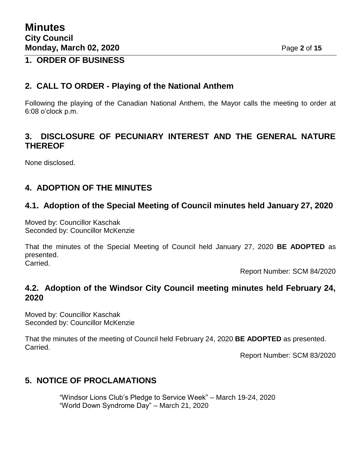### **1. ORDER OF BUSINESS**

### **2. CALL TO ORDER - Playing of the National Anthem**

Following the playing of the Canadian National Anthem, the Mayor calls the meeting to order at 6:08 o'clock p.m.

### **3. DISCLOSURE OF PECUNIARY INTEREST AND THE GENERAL NATURE THEREOF**

None disclosed.

## **4. ADOPTION OF THE MINUTES**

### **4.1. Adoption of the Special Meeting of Council minutes held January 27, 2020**

Moved by: Councillor Kaschak Seconded by: Councillor McKenzie

That the minutes of the Special Meeting of Council held January 27, 2020 **BE ADOPTED** as presented. Carried.

Report Number: SCM 84/2020

### **4.2. Adoption of the Windsor City Council meeting minutes held February 24, 2020**

Moved by: Councillor Kaschak Seconded by: Councillor McKenzie

That the minutes of the meeting of Council held February 24, 2020 **BE ADOPTED** as presented. Carried.

Report Number: SCM 83/2020

### **5. NOTICE OF PROCLAMATIONS**

"Windsor Lions Club's Pledge to Service Week" – March 19-24, 2020 "World Down Syndrome Day" – March 21, 2020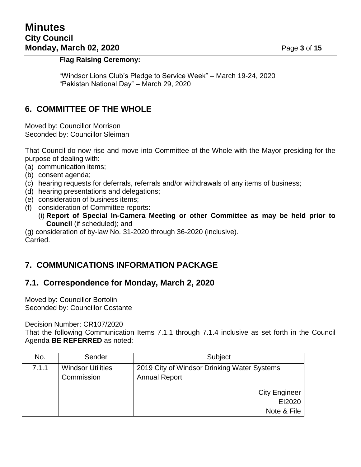#### **Flag Raising Ceremony:**

"Windsor Lions Club's Pledge to Service Week" – March 19-24, 2020 "Pakistan National Day" – March 29, 2020

#### **6. COMMITTEE OF THE WHOLE**

Moved by: Councillor Morrison Seconded by: Councillor Sleiman

That Council do now rise and move into Committee of the Whole with the Mayor presiding for the purpose of dealing with:

- (a) communication items;
- (b) consent agenda;
- (c) hearing requests for deferrals, referrals and/or withdrawals of any items of business;
- (d) hearing presentations and delegations;
- (e) consideration of business items;
- (f) consideration of Committee reports:
	- (i) **Report of Special In-Camera Meeting or other Committee as may be held prior to Council** (if scheduled); and

(g) consideration of by-law No. 31-2020 through 36-2020 (inclusive). Carried.

### **7. COMMUNICATIONS INFORMATION PACKAGE**

#### **7.1. Correspondence for Monday, March 2, 2020**

Moved by: Councillor Bortolin Seconded by: Councillor Costante

Decision Number: CR107/2020

That the following Communication Items 7.1.1 through 7.1.4 inclusive as set forth in the Council Agenda **BE REFERRED** as noted:

| No.   | Sender                   | Subject                                     |  |
|-------|--------------------------|---------------------------------------------|--|
| 7.1.1 | <b>Windsor Utilities</b> | 2019 City of Windsor Drinking Water Systems |  |
|       | Commission               | <b>Annual Report</b>                        |  |
|       |                          | <b>City Engineer</b>                        |  |
|       |                          | EI2020                                      |  |
|       |                          | Note & File                                 |  |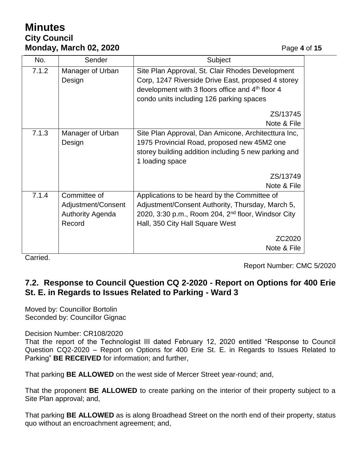# **Minutes City Council Monday, March 02, 2020 Page 4 of 15**

| No.   | Sender                  | Subject                                                        |  |
|-------|-------------------------|----------------------------------------------------------------|--|
| 7.1.2 | Manager of Urban        | Site Plan Approval, St. Clair Rhodes Development               |  |
|       | Design                  | Corp, 1247 Riverside Drive East, proposed 4 storey             |  |
|       |                         | development with 3 floors office and 4 <sup>th</sup> floor 4   |  |
|       |                         | condo units including 126 parking spaces                       |  |
|       |                         | ZS/13745                                                       |  |
|       |                         | Note & File                                                    |  |
| 7.1.3 | Manager of Urban        | Site Plan Approval, Dan Amicone, Architecttura Inc,            |  |
|       | Design                  | 1975 Provincial Road, proposed new 45M2 one                    |  |
|       |                         | storey building addition including 5 new parking and           |  |
|       |                         | 1 loading space                                                |  |
|       |                         | ZS/13749                                                       |  |
|       |                         | Note & File                                                    |  |
| 7.1.4 | Committee of            | Applications to be heard by the Committee of                   |  |
|       | Adjustment/Consent      | Adjustment/Consent Authority, Thursday, March 5,               |  |
|       | <b>Authority Agenda</b> | 2020, 3:30 p.m., Room 204, 2 <sup>nd</sup> floor, Windsor City |  |
|       | Record                  | Hall, 350 City Hall Square West                                |  |
|       |                         | ZC2020                                                         |  |
|       |                         | Note & File                                                    |  |

Carried.

Report Number: CMC 5/2020

## **7.2. Response to Council Question CQ 2-2020 - Report on Options for 400 Erie St. E. in Regards to Issues Related to Parking - Ward 3**

Moved by: Councillor Bortolin Seconded by: Councillor Gignac

Decision Number: CR108/2020

That the report of the Technologist III dated February 12, 2020 entitled "Response to Council Question CQ2-2020 – Report on Options for 400 Erie St. E. in Regards to Issues Related to Parking" **BE RECEIVED** for information; and further,

That parking **BE ALLOWED** on the west side of Mercer Street year-round; and,

That the proponent **BE ALLOWED** to create parking on the interior of their property subject to a Site Plan approval; and,

That parking **BE ALLOWED** as is along Broadhead Street on the north end of their property, status quo without an encroachment agreement; and,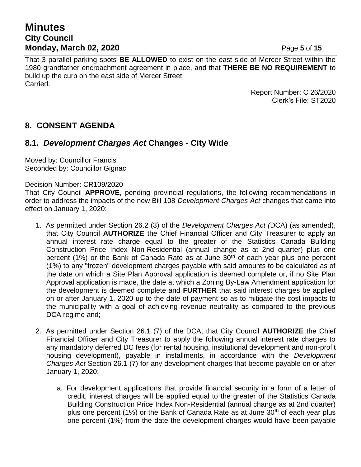## **Minutes City Council Monday, March 02, 2020 Page 5** of 15

That 3 parallel parking spots **BE ALLOWED** to exist on the east side of Mercer Street within the 1980 grandfather encroachment agreement in place, and that **THERE BE NO REQUIREMENT** to build up the curb on the east side of Mercer Street. Carried.

> Report Number: C 26/2020 Clerk's File: ST2020

## **8. CONSENT AGENDA**

### **8.1.** *Development Charges Act* **Changes - City Wide**

Moved by: Councillor Francis Seconded by: Councillor Gignac

#### Decision Number: CR109/2020

That City Council **APPROVE**, pending provincial regulations, the following recommendations in order to address the impacts of the new Bill 108 *Development Charges Act* changes that came into effect on January 1, 2020:

- 1. As permitted under Section 26.2 (3) of the *Development Charges Act (*DCA) (as amended), that City Council **AUTHORIZE** the Chief Financial Officer and City Treasurer to apply an annual interest rate charge equal to the greater of the Statistics Canada Building Construction Price Index Non-Residential (annual change as at 2nd quarter) plus one percent (1%) or the Bank of Canada Rate as at June  $30<sup>th</sup>$  of each year plus one percent (1%) to any "frozen" development charges payable with said amounts to be calculated as of the date on which a Site Plan Approval application is deemed complete or, if no Site Plan Approval application is made, the date at which a Zoning By-Law Amendment application for the development is deemed complete and **FURTHER** that said interest charges be applied on or after January 1, 2020 up to the date of payment so as to mitigate the cost impacts to the municipality with a goal of achieving revenue neutrality as compared to the previous DCA regime and;
- 2. As permitted under Section 26.1 (7) of the DCA, that City Council **AUTHORIZE** the Chief Financial Officer and City Treasurer to apply the following annual interest rate charges to any mandatory deferred DC fees (for rental housing, institutional development and non-profit housing development), payable in installments, in accordance with the *Development Charges Act* Section 26.1 (7) for any development charges that become payable on or after January 1, 2020:
	- a. For development applications that provide financial security in a form of a letter of credit, interest charges will be applied equal to the greater of the Statistics Canada Building Construction Price Index Non-Residential (annual change as at 2nd quarter) plus one percent (1%) or the Bank of Canada Rate as at June  $30<sup>th</sup>$  of each year plus one percent (1%) from the date the development charges would have been payable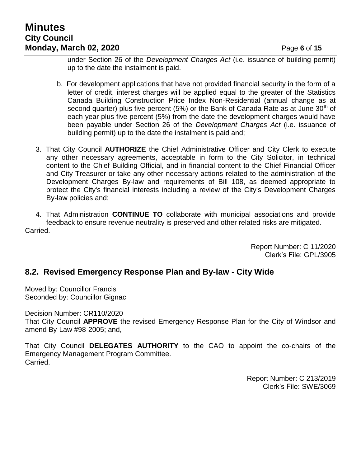# **Minutes City Council Monday, March 02, 2020 Page 6** of 15

under Section 26 of the *Development Charges Act* (i.e. issuance of building permit) up to the date the instalment is paid.

- b. For development applications that have not provided financial security in the form of a letter of credit, interest charges will be applied equal to the greater of the Statistics Canada Building Construction Price Index Non-Residential (annual change as at second quarter) plus five percent (5%) or the Bank of Canada Rate as at June  $30<sup>th</sup>$  of each year plus five percent (5%) from the date the development charges would have been payable under Section 26 of the *Development Charges Act* (i.e. issuance of building permit) up to the date the instalment is paid and;
- 3. That City Council **AUTHORIZE** the Chief Administrative Officer and City Clerk to execute any other necessary agreements, acceptable in form to the City Solicitor, in technical content to the Chief Building Official, and in financial content to the Chief Financial Officer and City Treasurer or take any other necessary actions related to the administration of the Development Charges By-law and requirements of Bill 108, as deemed appropriate to protect the City's financial interests including a review of the City's Development Charges By-law policies and;

4. That Administration **CONTINUE TO** collaborate with municipal associations and provide feedback to ensure revenue neutrality is preserved and other related risks are mitigated. Carried.

> Report Number: C 11/2020 Clerk's File: GPL/3905

### **8.2. Revised Emergency Response Plan and By-law - City Wide**

Moved by: Councillor Francis Seconded by: Councillor Gignac

Decision Number: CR110/2020

That City Council **APPROVE** the revised Emergency Response Plan for the City of Windsor and amend By-Law #98-2005; and,

That City Council **DELEGATES AUTHORITY** to the CAO to appoint the co-chairs of the Emergency Management Program Committee. Carried.

> Report Number: C 213/2019 Clerk's File: SWE/3069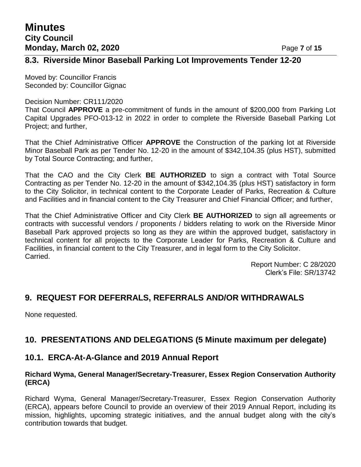### **8.3. Riverside Minor Baseball Parking Lot Improvements Tender 12-20**

Moved by: Councillor Francis Seconded by: Councillor Gignac

#### Decision Number: CR111/2020

That Council **APPROVE** a pre-commitment of funds in the amount of \$200,000 from Parking Lot Capital Upgrades PFO-013-12 in 2022 in order to complete the Riverside Baseball Parking Lot Project; and further,

That the Chief Administrative Officer **APPROVE** the Construction of the parking lot at Riverside Minor Baseball Park as per Tender No. 12-20 in the amount of \$342,104.35 (plus HST), submitted by Total Source Contracting; and further,

That the CAO and the City Clerk **BE AUTHORIZED** to sign a contract with Total Source Contracting as per Tender No. 12-20 in the amount of \$342,104.35 (plus HST) satisfactory in form to the City Solicitor, in technical content to the Corporate Leader of Parks, Recreation & Culture and Facilities and in financial content to the City Treasurer and Chief Financial Officer; and further,

That the Chief Administrative Officer and City Clerk **BE AUTHORIZED** to sign all agreements or contracts with successful vendors / proponents / bidders relating to work on the Riverside Minor Baseball Park approved projects so long as they are within the approved budget, satisfactory in technical content for all projects to the Corporate Leader for Parks, Recreation & Culture and Facilities, in financial content to the City Treasurer, and in legal form to the City Solicitor. Carried.

> Report Number: C 28/2020 Clerk's File: SR/13742

### **9. REQUEST FOR DEFERRALS, REFERRALS AND/OR WITHDRAWALS**

None requested.

### **10. PRESENTATIONS AND DELEGATIONS (5 Minute maximum per delegate)**

#### **10.1. ERCA-At-A-Glance and 2019 Annual Report**

#### **Richard Wyma, General Manager/Secretary-Treasurer, Essex Region Conservation Authority (ERCA)**

Richard Wyma, General Manager/Secretary-Treasurer, Essex Region Conservation Authority (ERCA), appears before Council to provide an overview of their 2019 Annual Report, including its mission, highlights, upcoming strategic initiatives, and the annual budget along with the city's contribution towards that budget.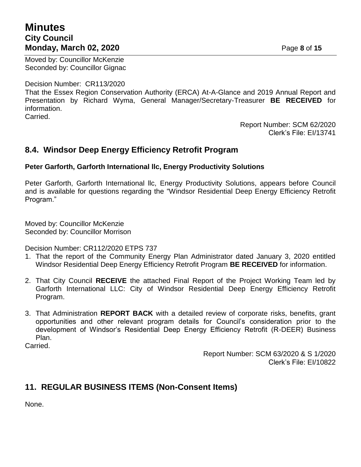## **Minutes City Council Monday, March 02, 2020 Page 8** of 15

Moved by: Councillor McKenzie Seconded by: Councillor Gignac

Decision Number: CR113/2020

That the Essex Region Conservation Authority (ERCA) At-A-Glance and 2019 Annual Report and Presentation by Richard Wyma, General Manager/Secretary-Treasurer **BE RECEIVED** for information.

Carried.

Report Number: SCM 62/2020 Clerk's File: EI/13741

#### **8.4. Windsor Deep Energy Efficiency Retrofit Program**

#### **Peter Garforth, Garforth International llc, Energy Productivity Solutions**

Peter Garforth, Garforth International llc, Energy Productivity Solutions, appears before Council and is available for questions regarding the "Windsor Residential Deep Energy Efficiency Retrofit Program."

Moved by: Councillor McKenzie Seconded by: Councillor Morrison

Decision Number: CR112/2020 ETPS 737

- 1. That the report of the Community Energy Plan Administrator dated January 3, 2020 entitled Windsor Residential Deep Energy Efficiency Retrofit Program **BE RECEIVED** for information.
- 2. That City Council **RECEIVE** the attached Final Report of the Project Working Team led by Garforth International LLC: City of Windsor Residential Deep Energy Efficiency Retrofit Program.
- 3. That Administration **REPORT BACK** with a detailed review of corporate risks, benefits, grant opportunities and other relevant program details for Council's consideration prior to the development of Windsor's Residential Deep Energy Efficiency Retrofit (R-DEER) Business Plan.

Carried.

Report Number: SCM 63/2020 & S 1/2020 Clerk's File: EI/10822

## **11. REGULAR BUSINESS ITEMS (Non-Consent Items)**

None.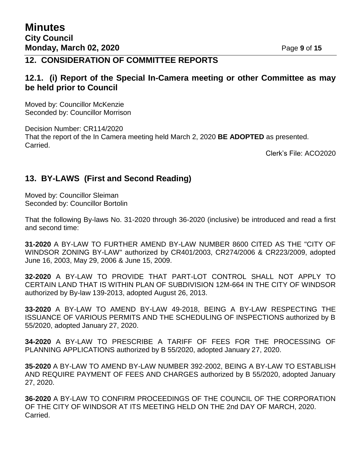### **12. CONSIDERATION OF COMMITTEE REPORTS**

#### **12.1. (i) Report of the Special In-Camera meeting or other Committee as may be held prior to Council**

Moved by: Councillor McKenzie Seconded by: Councillor Morrison

Decision Number: CR114/2020 That the report of the In Camera meeting held March 2, 2020 **BE ADOPTED** as presented. Carried.

Clerk's File: ACO2020

### **13. BY-LAWS (First and Second Reading)**

Moved by: Councillor Sleiman Seconded by: Councillor Bortolin

That the following By-laws No. 31-2020 through 36-2020 (inclusive) be introduced and read a first and second time:

**31-2020** A BY-LAW TO FURTHER AMEND BY-LAW NUMBER 8600 CITED AS THE "CITY OF WINDSOR ZONING BY-LAW" authorized by CR401/2003, CR274/2006 & CR223/2009, adopted June 16, 2003, May 29, 2006 & June 15, 2009.

**32-2020** A BY-LAW TO PROVIDE THAT PART-LOT CONTROL SHALL NOT APPLY TO CERTAIN LAND THAT IS WITHIN PLAN OF SUBDIVISION 12M-664 IN THE CITY OF WINDSOR authorized by By-law 139-2013, adopted August 26, 2013.

**33-2020** A BY-LAW TO AMEND BY-LAW 49-2018, BEING A BY-LAW RESPECTING THE ISSUANCE OF VARIOUS PERMITS AND THE SCHEDULING OF INSPECTIONS authorized by B 55/2020, adopted January 27, 2020.

**34-2020** A BY-LAW TO PRESCRIBE A TARIFF OF FEES FOR THE PROCESSING OF PLANNING APPLICATIONS authorized by B 55/2020, adopted January 27, 2020.

**35-2020** A BY-LAW TO AMEND BY-LAW NUMBER 392-2002, BEING A BY-LAW TO ESTABLISH AND REQUIRE PAYMENT OF FEES AND CHARGES authorized by B 55/2020, adopted January 27, 2020.

**36-2020** A BY-LAW TO CONFIRM PROCEEDINGS OF THE COUNCIL OF THE CORPORATION OF THE CITY OF WINDSOR AT ITS MEETING HELD ON THE 2nd DAY OF MARCH, 2020. Carried.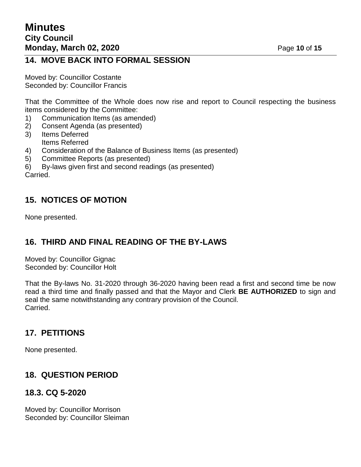### **14. MOVE BACK INTO FORMAL SESSION**

Moved by: Councillor Costante Seconded by: Councillor Francis

That the Committee of the Whole does now rise and report to Council respecting the business items considered by the Committee:

- 1) Communication Items (as amended)
- 2) Consent Agenda (as presented)
- 3) Items Deferred Items Referred
- 4) Consideration of the Balance of Business Items (as presented)
- 5) Committee Reports (as presented)
- 6) By-laws given first and second readings (as presented)

Carried.

## **15. NOTICES OF MOTION**

None presented.

## **16. THIRD AND FINAL READING OF THE BY-LAWS**

Moved by: Councillor Gignac Seconded by: Councillor Holt

That the By-laws No. 31-2020 through 36-2020 having been read a first and second time be now read a third time and finally passed and that the Mayor and Clerk **BE AUTHORIZED** to sign and seal the same notwithstanding any contrary provision of the Council. Carried.

### **17. PETITIONS**

None presented.

## **18. QUESTION PERIOD**

### **18.3. CQ 5-2020**

Moved by: Councillor Morrison Seconded by: Councillor Sleiman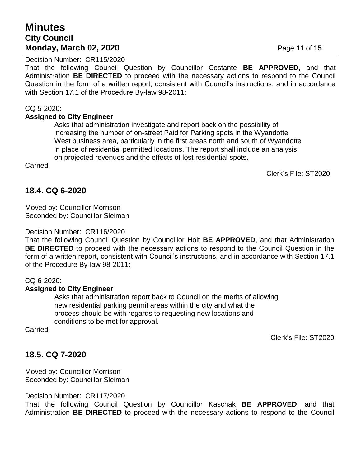## **Minutes City Council Monday, March 02, 2020 Page 11 of 15**

Decision Number: CR115/2020

That the following Council Question by Councillor Costante **BE APPROVED,** and that Administration **BE DIRECTED** to proceed with the necessary actions to respond to the Council Question in the form of a written report, consistent with Council's instructions, and in accordance with Section 17.1 of the Procedure By-law 98-2011:

#### CQ 5-2020:

#### **Assigned to City Engineer**

Asks that administration investigate and report back on the possibility of increasing the number of on-street Paid for Parking spots in the Wyandotte West business area, particularly in the first areas north and south of Wyandotte in place of residential permitted locations. The report shall include an analysis on projected revenues and the effects of lost residential spots.

Carried.

Clerk's File: ST2020

## **18.4. CQ 6-2020**

Moved by: Councillor Morrison Seconded by: Councillor Sleiman

Decision Number: CR116/2020

That the following Council Question by Councillor Holt **BE APPROVED**, and that Administration **BE DIRECTED** to proceed with the necessary actions to respond to the Council Question in the form of a written report, consistent with Council's instructions, and in accordance with Section 17.1 of the Procedure By-law 98-2011:

#### CQ 6-2020:

#### **Assigned to City Engineer**

Asks that administration report back to Council on the merits of allowing new residential parking permit areas within the city and what the process should be with regards to requesting new locations and conditions to be met for approval.

Carried.

Clerk's File: ST2020

## **18.5. CQ 7-2020**

Moved by: Councillor Morrison Seconded by: Councillor Sleiman

Decision Number: CR117/2020

That the following Council Question by Councillor Kaschak **BE APPROVED**, and that Administration **BE DIRECTED** to proceed with the necessary actions to respond to the Council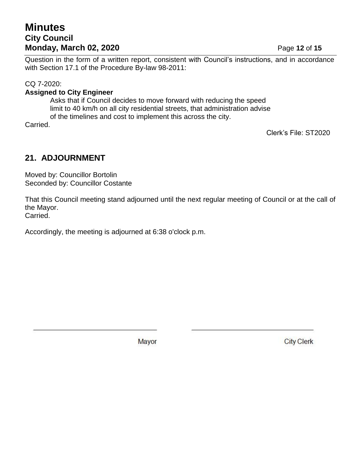## **Minutes City Council Monday, March 02, 2020 Page 12 of 15**

Question in the form of a written report, consistent with Council's instructions, and in accordance with Section 17.1 of the Procedure By-law 98-2011:

#### CQ 7-2020:

#### **Assigned to City Engineer**

Asks that if Council decides to move forward with reducing the speed limit to 40 km/h on all city residential streets, that administration advise of the timelines and cost to implement this across the city.

Carried.

Clerk's File: ST2020

# **21. ADJOURNMENT**

Moved by: Councillor Bortolin Seconded by: Councillor Costante

That this Council meeting stand adjourned until the next regular meeting of Council or at the call of the Mayor. Carried.

Accordingly, the meeting is adjourned at 6:38 o'clock p.m.

Mayor

**City Clerk**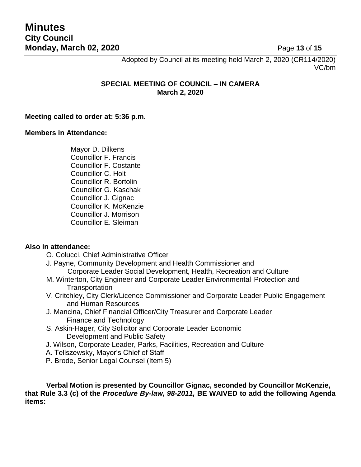Adopted by Council at its meeting held March 2, 2020 (CR114/2020) VC/bm

#### **SPECIAL MEETING OF COUNCIL – IN CAMERA March 2, 2020**

#### **Meeting called to order at: 5:36 p.m.**

#### **Members in Attendance:**

Mayor D. Dilkens Councillor F. Francis Councillor F. Costante Councillor C. Holt Councillor R. Bortolin Councillor G. Kaschak Councillor J. Gignac Councillor K. McKenzie Councillor J. Morrison Councillor E. Sleiman

#### **Also in attendance:**

- O. Colucci, Chief Administrative Officer
- J. Payne, Community Development and Health Commissioner and Corporate Leader Social Development, Health, Recreation and Culture
- M. Winterton, City Engineer and Corporate Leader Environmental Protection and **Transportation**
- V. Critchley, City Clerk/Licence Commissioner and Corporate Leader Public Engagement and Human Resources
- J. Mancina, Chief Financial Officer/City Treasurer and Corporate Leader Finance and Technology
- S. Askin-Hager, City Solicitor and Corporate Leader Economic Development and Public Safety
- J. Wilson, Corporate Leader, Parks, Facilities, Recreation and Culture
- A. Teliszewsky, Mayor's Chief of Staff
- P. Brode, Senior Legal Counsel (Item 5)

**Verbal Motion is presented by Councillor Gignac, seconded by Councillor McKenzie, that Rule 3.3 (c) of the** *Procedure By-law, 98-2011,* **BE WAIVED to add the following Agenda items:**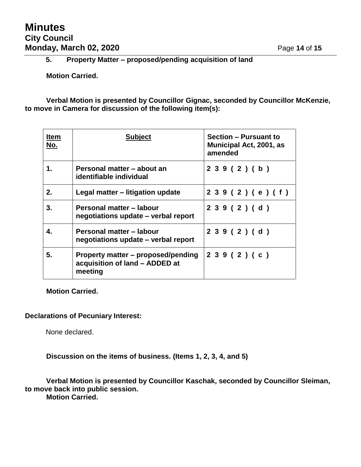## **Minutes City Council Monday, March 02, 2020 Page 14 of 15**

### **5. Property Matter – proposed/pending acquisition of land**

**Motion Carried.**

**Verbal Motion is presented by Councillor Gignac, seconded by Councillor McKenzie, to move in Camera for discussion of the following item(s):**

| <b>Item</b><br>No. | <b>Subject</b>                                                                  | <b>Section - Pursuant to</b><br>Municipal Act, 2001, as<br>amended |
|--------------------|---------------------------------------------------------------------------------|--------------------------------------------------------------------|
| 1.                 | Personal matter – about an<br>identifiable individual                           | 239(2)(b)                                                          |
| 2.                 | Legal matter – litigation update                                                | 2 3 9 ( 2 ) ( e ) ( f )                                            |
| 3.                 | Personal matter - labour<br>negotiations update - verbal report                 | 239(2)(d)                                                          |
| 4.                 | Personal matter - labour<br>negotiations update – verbal report                 | 239(2)(d)                                                          |
| 5.                 | Property matter – proposed/pending<br>acquisition of land - ADDED at<br>meeting | 239(2)(c)                                                          |

**Motion Carried.**

#### **Declarations of Pecuniary Interest:**

None declared.

**Discussion on the items of business. (Items 1, 2, 3, 4, and 5)**

**Verbal Motion is presented by Councillor Kaschak, seconded by Councillor Sleiman, to move back into public session.**

**Motion Carried.**